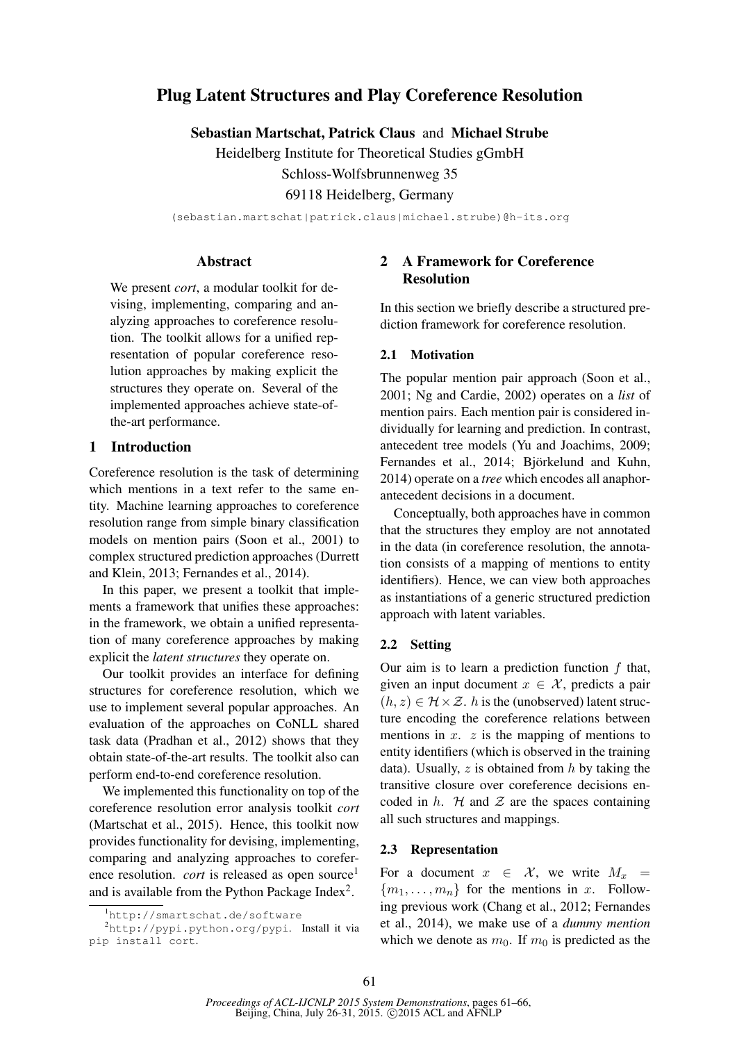# Plug Latent Structures and Play Coreference Resolution

Sebastian Martschat, Patrick Claus and Michael Strube

Heidelberg Institute for Theoretical Studies gGmbH

Schloss-Wolfsbrunnenweg 35

69118 Heidelberg, Germany

(sebastian.martschat|patrick.claus|michael.strube)@h-its.org

# **Abstract**

We present *cort*, a modular toolkit for devising, implementing, comparing and analyzing approaches to coreference resolution. The toolkit allows for a unified representation of popular coreference resolution approaches by making explicit the structures they operate on. Several of the implemented approaches achieve state-ofthe-art performance.

# 1 Introduction

Coreference resolution is the task of determining which mentions in a text refer to the same entity. Machine learning approaches to coreference resolution range from simple binary classification models on mention pairs (Soon et al., 2001) to complex structured prediction approaches (Durrett and Klein, 2013; Fernandes et al., 2014).

In this paper, we present a toolkit that implements a framework that unifies these approaches: in the framework, we obtain a unified representation of many coreference approaches by making explicit the *latent structures* they operate on.

Our toolkit provides an interface for defining structures for coreference resolution, which we use to implement several popular approaches. An evaluation of the approaches on CoNLL shared task data (Pradhan et al., 2012) shows that they obtain state-of-the-art results. The toolkit also can perform end-to-end coreference resolution.

We implemented this functionality on top of the coreference resolution error analysis toolkit *cort* (Martschat et al., 2015). Hence, this toolkit now provides functionality for devising, implementing, comparing and analyzing approaches to coreference resolution. *cort* is released as open source<sup>1</sup> and is available from the Python Package Index<sup>2</sup>.

# 2 A Framework for Coreference Resolution

In this section we briefly describe a structured prediction framework for coreference resolution.

#### 2.1 Motivation

The popular mention pair approach (Soon et al., 2001; Ng and Cardie, 2002) operates on a *list* of mention pairs. Each mention pair is considered individually for learning and prediction. In contrast, antecedent tree models (Yu and Joachims, 2009; Fernandes et al., 2014; Björkelund and Kuhn, 2014) operate on a *tree* which encodes all anaphorantecedent decisions in a document.

Conceptually, both approaches have in common that the structures they employ are not annotated in the data (in coreference resolution, the annotation consists of a mapping of mentions to entity identifiers). Hence, we can view both approaches as instantiations of a generic structured prediction approach with latent variables.

#### 2.2 Setting

Our aim is to learn a prediction function  $f$  that, given an input document  $x \in \mathcal{X}$ , predicts a pair  $(h, z) \in \mathcal{H} \times \mathcal{Z}$ . h is the (unobserved) latent structure encoding the coreference relations between mentions in  $x$ .  $z$  is the mapping of mentions to entity identifiers (which is observed in the training data). Usually,  $z$  is obtained from  $h$  by taking the transitive closure over coreference decisions encoded in h.  $H$  and  $Z$  are the spaces containing all such structures and mappings.

#### 2.3 Representation

For a document  $x \in \mathcal{X}$ , we write  $M_x =$  ${m_1, \ldots, m_n}$  for the mentions in x. Following previous work (Chang et al., 2012; Fernandes et al., 2014), we make use of a *dummy mention* which we denote as  $m_0$ . If  $m_0$  is predicted as the

<sup>1</sup>http://smartschat.de/software

<sup>2</sup>http://pypi.python.org/pypi. Install it via pip install cort.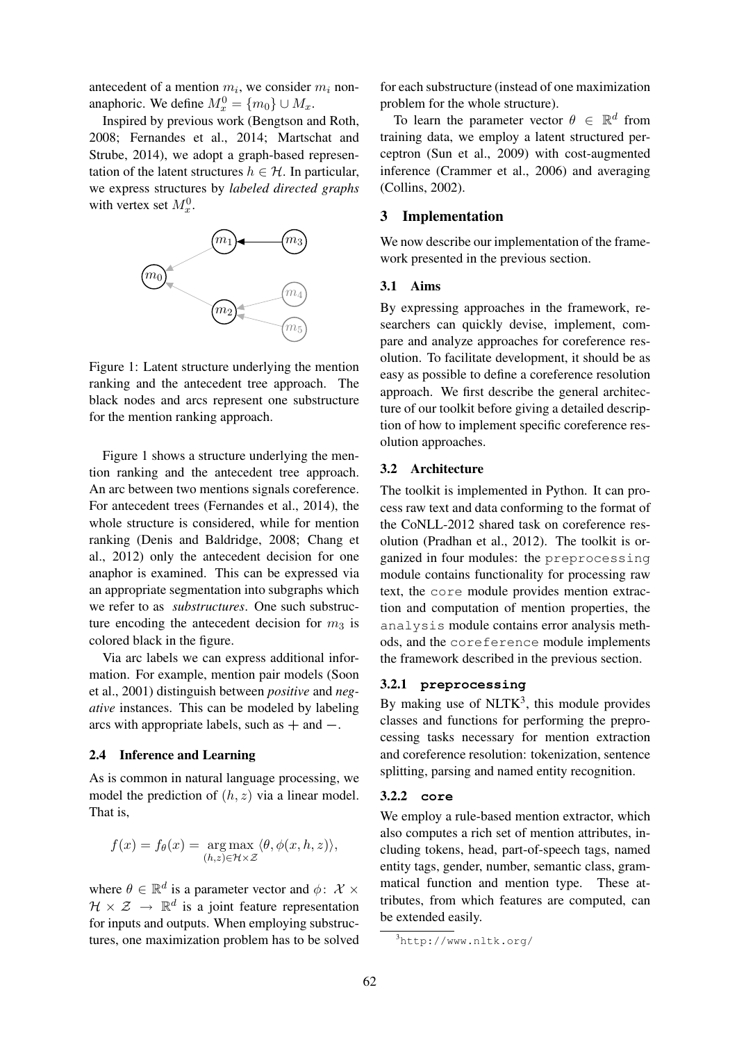antecedent of a mention  $m_i$ , we consider  $m_i$  nonanaphoric. We define  $M_x^0 = \{m_0\} \cup M_x$ .

Inspired by previous work (Bengtson and Roth, 2008; Fernandes et al., 2014; Martschat and Strube, 2014), we adopt a graph-based representation of the latent structures  $h \in \mathcal{H}$ . In particular, we express structures by *labeled directed graphs* with vertex set  $M_x^0$ .



Figure 1: Latent structure underlying the mention ranking and the antecedent tree approach. The black nodes and arcs represent one substructure for the mention ranking approach.

Figure 1 shows a structure underlying the mention ranking and the antecedent tree approach. An arc between two mentions signals coreference. For antecedent trees (Fernandes et al., 2014), the whole structure is considered, while for mention ranking (Denis and Baldridge, 2008; Chang et al., 2012) only the antecedent decision for one anaphor is examined. This can be expressed via an appropriate segmentation into subgraphs which we refer to as *substructures*. One such substructure encoding the antecedent decision for  $m_3$  is colored black in the figure.

Via arc labels we can express additional information. For example, mention pair models (Soon et al., 2001) distinguish between *positive* and *negative* instances. This can be modeled by labeling arcs with appropriate labels, such as  $+$  and  $-$ .

#### 2.4 Inference and Learning

As is common in natural language processing, we model the prediction of  $(h, z)$  via a linear model. That is,

$$
f(x) = f_{\theta}(x) = \underset{(h,z) \in \mathcal{H} \times \mathcal{Z}}{\arg \max} \langle \theta, \phi(x, h, z) \rangle,
$$

where  $\theta \in \mathbb{R}^d$  is a parameter vector and  $\phi$ :  $\mathcal{X} \times$  $\mathcal{H} \times \mathcal{Z} \rightarrow \mathbb{R}^d$  is a joint feature representation for inputs and outputs. When employing substructures, one maximization problem has to be solved for each substructure (instead of one maximization problem for the whole structure).

To learn the parameter vector  $\theta \in \mathbb{R}^d$  from training data, we employ a latent structured perceptron (Sun et al., 2009) with cost-augmented inference (Crammer et al., 2006) and averaging (Collins, 2002).

# 3 Implementation

We now describe our implementation of the framework presented in the previous section.

#### 3.1 Aims

By expressing approaches in the framework, researchers can quickly devise, implement, compare and analyze approaches for coreference resolution. To facilitate development, it should be as easy as possible to define a coreference resolution approach. We first describe the general architecture of our toolkit before giving a detailed description of how to implement specific coreference resolution approaches.

# 3.2 Architecture

The toolkit is implemented in Python. It can process raw text and data conforming to the format of the CoNLL-2012 shared task on coreference resolution (Pradhan et al., 2012). The toolkit is organized in four modules: the preprocessing module contains functionality for processing raw text, the core module provides mention extraction and computation of mention properties, the analysis module contains error analysis methods, and the coreference module implements the framework described in the previous section.

## 3.2.1 **preprocessing**

By making use of  $NLTK<sup>3</sup>$ , this module provides classes and functions for performing the preprocessing tasks necessary for mention extraction and coreference resolution: tokenization, sentence splitting, parsing and named entity recognition.

#### 3.2.2 **core**

We employ a rule-based mention extractor, which also computes a rich set of mention attributes, including tokens, head, part-of-speech tags, named entity tags, gender, number, semantic class, grammatical function and mention type. These attributes, from which features are computed, can be extended easily.

<sup>3</sup>http://www.nltk.org/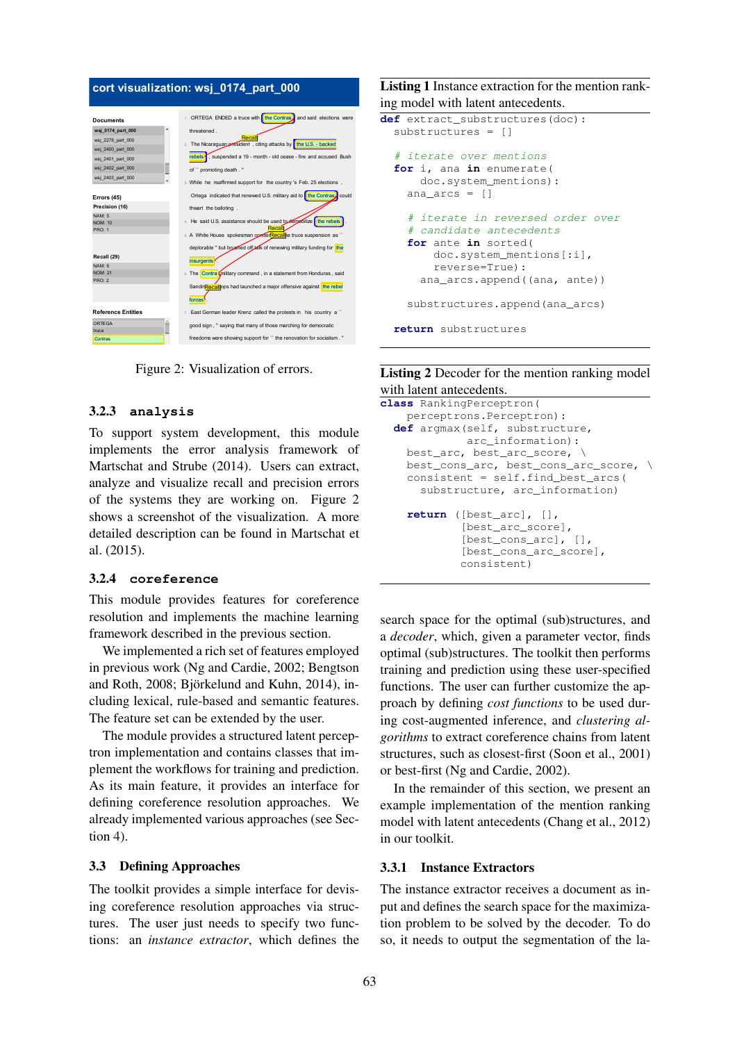# **cort visualization: wsj\_0174\_part\_000**



Figure 2: Visualization of errors.

#### 10. The ban on crossborder movement was imposed last month after a 3.2.3 analysis

To support system development, this module implements the error analysis framework of Martschat and Strube (2014). Users can extract, analyze and visualize recall and precision errors of the systems they are working on. Figure 2 shows a screenshot of the visualization. A more detailed description can be found in Martschat et al. (2015).

#### 3.2.4 **coreference**

This module provides features for coreference resolution and implements the machine learning framework described in the previous section.

We implemented a rich set of features employed in previous work (Ng and Cardie, 2002; Bengtson and Roth,  $2008$ ; Biörkelund and Kuhn,  $2014$ ), including lexical, rule-based and semantic features. The feature set can be extended by the user.

The module provides a structured latent perceptron implementation and contains classes that implement the workflows for training and prediction. As its main feature, it provides an interface for defining coreference resolution approaches. We already implemented various approaches (see Section 4).

#### 3.3 Defining Approaches

The toolkit provides a simple interface for devising coreference resolution approaches via structures. The user just needs to specify two functions: an *instance extractor*, which defines the

# Listing 1 Instance extraction for the mention ranking model with latent antecedents.

```
def extract_substructures(doc):
 substructures = []
 # iterate over mentions
for i, ana in enumerate(
     doc.system_mentions):
   ana_arcs = []
   # iterate in reversed order over
   # candidate antecedents
   for ante in sorted(
      doc.system_mentions[:i],
      reverse=True):
     ana_arcs.append((ana, ante))
   substructures.append(ana_arcs)
return substructures
```
# Listing 2 Decoder for the mention ranking model with latent antecedents.

```
class RankingPerceptron(
  perceptrons.Perceptron):
def argmax(self, substructure,
           arc_information):
  best_arc, best_arc_score, \
  best_cons_arc, best_cons_arc_score, \
  consistent = self.find_best_arcs(
     substructure, arc_information)
  return ([best_arc], [],
           [best_arc_score],
           [best_cons_arc], [],
           [best_cons_arc_score],
           consistent)
```
search space for the optimal (sub)structures, and a *decoder*, which, given a parameter vector, finds optimal (sub)structures. The toolkit then performs training and prediction using these user-specified functions. The user can further customize the approach by defining *cost functions* to be used during cost-augmented inference, and *clustering algorithms* to extract coreference chains from latent structures, such as closest-first (Soon et al., 2001) or best-first (Ng and Cardie, 2002).

In the remainder of this section, we present an example implementation of the mention ranking model with latent antecedents (Chang et al., 2012) in our toolkit.

#### 3.3.1 Instance Extractors

The instance extractor receives a document as input and defines the search space for the maximization problem to be solved by the decoder. To do so, it needs to output the segmentation of the la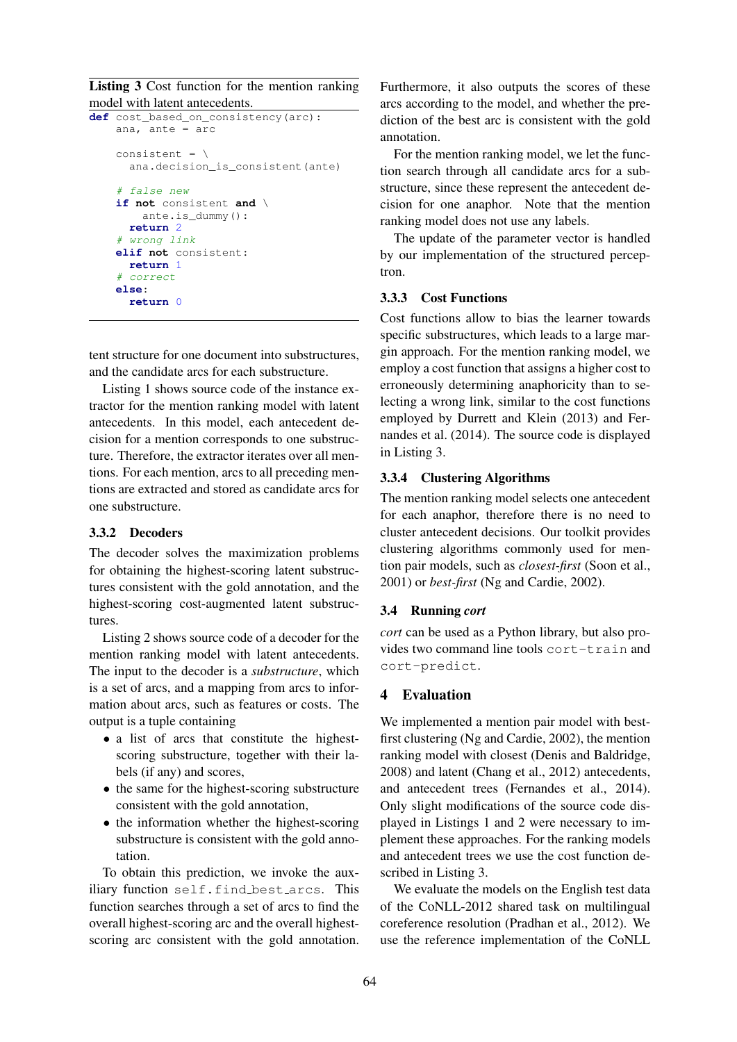Listing 3 Cost function for the mention ranking model with latent antecedents.

```
def cost_based_on_consistency(arc):
   ana, ante = arc
   consistent = \n\sqrt{2}ana.decision_is_consistent(ante)
   # false new
   if not consistent and \
       ante.is_dummy():
     return 2
   # wrong link
   elif not consistent:
     return 1
   # correct
   else:
     return 0
```
tent structure for one document into substructures, and the candidate arcs for each substructure.

Listing 1 shows source code of the instance extractor for the mention ranking model with latent antecedents. In this model, each antecedent decision for a mention corresponds to one substructure. Therefore, the extractor iterates over all mentions. For each mention, arcs to all preceding mentions are extracted and stored as candidate arcs for one substructure.

# 3.3.2 Decoders

The decoder solves the maximization problems for obtaining the highest-scoring latent substructures consistent with the gold annotation, and the highest-scoring cost-augmented latent substructures.

Listing 2 shows source code of a decoder for the mention ranking model with latent antecedents. The input to the decoder is a *substructure*, which is a set of arcs, and a mapping from arcs to information about arcs, such as features or costs. The output is a tuple containing

- a list of arcs that constitute the highestscoring substructure, together with their labels (if any) and scores,
- the same for the highest-scoring substructure consistent with the gold annotation,
- the information whether the highest-scoring substructure is consistent with the gold annotation.

To obtain this prediction, we invoke the auxiliary function self.find best arcs. This function searches through a set of arcs to find the overall highest-scoring arc and the overall highestscoring arc consistent with the gold annotation.

Furthermore, it also outputs the scores of these arcs according to the model, and whether the prediction of the best arc is consistent with the gold annotation.

For the mention ranking model, we let the function search through all candidate arcs for a substructure, since these represent the antecedent decision for one anaphor. Note that the mention ranking model does not use any labels.

The update of the parameter vector is handled by our implementation of the structured perceptron.

# 3.3.3 Cost Functions

Cost functions allow to bias the learner towards specific substructures, which leads to a large margin approach. For the mention ranking model, we employ a cost function that assigns a higher cost to erroneously determining anaphoricity than to selecting a wrong link, similar to the cost functions employed by Durrett and Klein (2013) and Fernandes et al. (2014). The source code is displayed in Listing 3.

#### 3.3.4 Clustering Algorithms

The mention ranking model selects one antecedent for each anaphor, therefore there is no need to cluster antecedent decisions. Our toolkit provides clustering algorithms commonly used for mention pair models, such as *closest-first* (Soon et al., 2001) or *best-first* (Ng and Cardie, 2002).

#### 3.4 Running *cort*

*cort* can be used as a Python library, but also provides two command line tools cort-train and cort-predict.

#### 4 Evaluation

We implemented a mention pair model with bestfirst clustering (Ng and Cardie, 2002), the mention ranking model with closest (Denis and Baldridge, 2008) and latent (Chang et al., 2012) antecedents, and antecedent trees (Fernandes et al., 2014). Only slight modifications of the source code displayed in Listings 1 and 2 were necessary to implement these approaches. For the ranking models and antecedent trees we use the cost function described in Listing 3.

We evaluate the models on the English test data of the CoNLL-2012 shared task on multilingual coreference resolution (Pradhan et al., 2012). We use the reference implementation of the CoNLL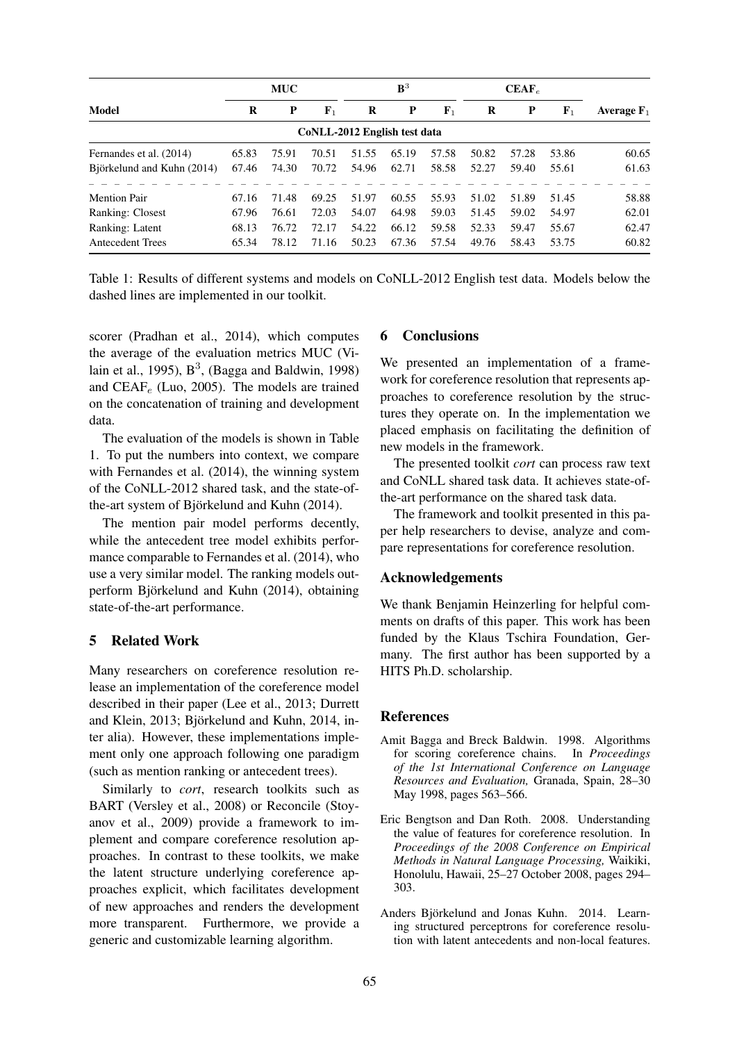| Model                      | <b>MUC</b> |       |             | ${\bf B}^3$                  |              |             | $CEAF_e$ |             |             |               |
|----------------------------|------------|-------|-------------|------------------------------|--------------|-------------|----------|-------------|-------------|---------------|
|                            | R          | P     | ${\bf F}_1$ | R                            | $\mathbf{P}$ | ${\bf F}_1$ | R        | $\mathbf P$ | ${\bf F}_1$ | Average $F_1$ |
|                            |            |       |             | CoNLL-2012 English test data |              |             |          |             |             |               |
| Fernandes et al. (2014)    | 65.83      | 75.91 | 70.51       | 51.55                        | 65.19        | 57.58       | 50.82    | 57.28       | 53.86       | 60.65         |
| Björkelund and Kuhn (2014) | 67.46      | 74.30 | 70.72       | 54.96                        | 62.71        | 58.58       | 52.27    | 59.40       | 55.61       | 61.63         |
| <b>Mention Pair</b>        | 67.16      | 71.48 | 69.25       | 51.97                        | 60.55        | 55.93       | 51.02    | 51.89       | 51.45       | 58.88         |
| Ranking: Closest           | 67.96      | 76.61 | 72.03       | 54.07                        | 64.98        | 59.03       | 51.45    | 59.02       | 54.97       | 62.01         |
| Ranking: Latent            | 68.13      | 76.72 | 72.17       | 54.22                        | 66.12        | 59.58       | 52.33    | 59.47       | 55.67       | 62.47         |
| <b>Antecedent Trees</b>    | 65.34      | 78.12 | 71.16       | 50.23                        | 67.36        | 57.54       | 49.76    | 58.43       | 53.75       | 60.82         |

Table 1: Results of different systems and models on CoNLL-2012 English test data. Models below the dashed lines are implemented in our toolkit.

scorer (Pradhan et al., 2014), which computes the average of the evaluation metrics MUC (Vilain et al., 1995),  $B^3$ , (Bagga and Baldwin, 1998) and  $CEAF_e$  (Luo, 2005). The models are trained on the concatenation of training and development data.

The evaluation of the models is shown in Table 1. To put the numbers into context, we compare with Fernandes et al. (2014), the winning system of the CoNLL-2012 shared task, and the state-ofthe-art system of Björkelund and Kuhn (2014).

The mention pair model performs decently, while the antecedent tree model exhibits performance comparable to Fernandes et al. (2014), who use a very similar model. The ranking models outperform Björkelund and Kuhn  $(2014)$ , obtaining state-of-the-art performance.

# 5 Related Work

Many researchers on coreference resolution release an implementation of the coreference model described in their paper (Lee et al., 2013; Durrett and Klein, 2013; Björkelund and Kuhn, 2014, inter alia). However, these implementations implement only one approach following one paradigm (such as mention ranking or antecedent trees).

Similarly to *cort*, research toolkits such as BART (Versley et al., 2008) or Reconcile (Stoyanov et al., 2009) provide a framework to implement and compare coreference resolution approaches. In contrast to these toolkits, we make the latent structure underlying coreference approaches explicit, which facilitates development of new approaches and renders the development more transparent. Furthermore, we provide a generic and customizable learning algorithm.

#### 6 Conclusions

We presented an implementation of a framework for coreference resolution that represents approaches to coreference resolution by the structures they operate on. In the implementation we placed emphasis on facilitating the definition of new models in the framework.

The presented toolkit *cort* can process raw text and CoNLL shared task data. It achieves state-ofthe-art performance on the shared task data.

The framework and toolkit presented in this paper help researchers to devise, analyze and compare representations for coreference resolution.

# Acknowledgements

We thank Benjamin Heinzerling for helpful comments on drafts of this paper. This work has been funded by the Klaus Tschira Foundation, Germany. The first author has been supported by a HITS Ph.D. scholarship.

#### **References**

- Amit Bagga and Breck Baldwin. 1998. Algorithms for scoring coreference chains. In *Proceedings of the 1st International Conference on Language Resources and Evaluation,* Granada, Spain, 28–30 May 1998, pages 563–566.
- Eric Bengtson and Dan Roth. 2008. Understanding the value of features for coreference resolution. In *Proceedings of the 2008 Conference on Empirical Methods in Natural Language Processing,* Waikiki, Honolulu, Hawaii, 25–27 October 2008, pages 294– 303.
- Anders Björkelund and Jonas Kuhn. 2014. Learning structured perceptrons for coreference resolution with latent antecedents and non-local features.